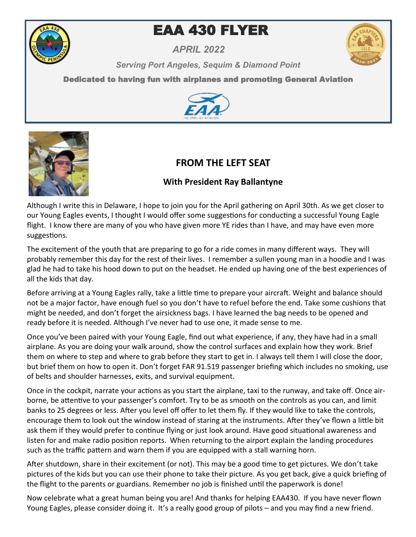

# **EAA 430 FLYER**

*APRIL 2022*



*Serving Port Angeles, Sequim & Diamond Point* 

Dedicated to having fun with airplanes and promoting General Aviation





## **FROM THE LEFT SEAT**

## **With President Ray Ballantyne**

Although I write this in Delaware, I hope to join you for the April gathering on April 30th. As we get closer to our Young Eagles events, I thought I would offer some suggestions for conducting a successful Young Eagle flight. I know there are many of you who have given more YE rides than I have, and may have even more suggestions.

The excitement of the youth that are preparing to go for a ride comes in many different ways. They will probably remember this day for the rest of their lives. I remember a sullen young man in a hoodie and I was glad he had to take his hood down to put on the headset. He ended up having one of the best experiences of all the kids that day.

Before arriving at a Young Eagles rally, take a little time to prepare your aircraft. Weight and balance should not be a major factor, have enough fuel so you don't have to refuel before the end. Take some cushions that might be needed, and don't forget the airsickness bags. I have learned the bag needs to be opened and ready before it is needed. Although I've never had to use one, it made sense to me.

Once you've been paired with your Young Eagle, find out what experience, if any, they have had in a small airplane. As you are doing your walk around, show the control surfaces and explain how they work. Brief them on where to step and where to grab before they start to get in. I always tell them I will close the door, but brief them on how to open it. Don't forget FAR 91.519 passenger briefing which includes no smoking, use of belts and shoulder harnesses, exits, and survival equipment.

Once in the cockpit, narrate your actions as you start the airplane, taxi to the runway, and take off. Once airborne, be attentive to your passenger's comfort. Try to be as smooth on the controls as you can, and limit banks to 25 degrees or less. After you level off offer to let them fly. If they would like to take the controls, encourage them to look out the window instead of staring at the instruments. After they've flown a little bit ask them if they would prefer to continue flying or just look around. Have good situational awareness and listen for and make radio position reports. When returning to the airport explain the landing procedures such as the traffic pattern and warn them if you are equipped with a stall warning horn.

After shutdown, share in their excitement (or not). This may be a good time to get pictures. We don't take pictures of the kids but you can use their phone to take their picture. As you get back, give a quick briefing of the flight to the parents or guardians. Remember no job is finished until the paperwork is done!

Now celebrate what a great human being you are! And thanks for helping EAA430. If you have never flown Young Eagles, please consider doing it. It's a really good group of pilots – and you may find a new friend.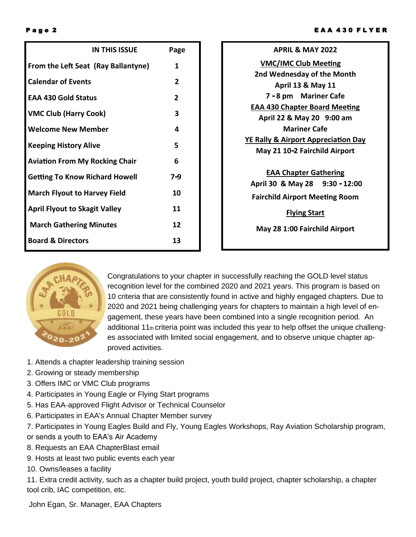|                                       | <b>IN THIS ISSUE</b> | Page           |
|---------------------------------------|----------------------|----------------|
| From the Left Seat (Ray Ballantyne)   |                      | 1              |
| <b>Calendar of Events</b>             |                      | $\mathbf{2}$   |
| <b>EAA 430 Gold Status</b>            |                      | $\overline{2}$ |
| <b>VMC Club (Harry Cook)</b>          |                      | 3              |
| <b>Welcome New Member</b>             |                      | 4              |
| <b>Keeping History Alive</b>          |                      | 5              |
| <b>Aviation From My Rocking Chair</b> |                      | 6              |
| <b>Getting To Know Richard Howell</b> |                      | $7 - 9$        |
| <b>March Flyout to Harvey Field</b>   |                      | 10             |
| <b>April Flyout to Skagit Valley</b>  |                      | 11             |
| <b>March Gathering Minutes</b>        |                      | 12             |
| <b>Board &amp; Directors</b>          |                      | 13             |

| <b>APRIL &amp; MAY 2022</b>                    |  |  |  |
|------------------------------------------------|--|--|--|
| <b>VMC/IMC Club Meeting</b>                    |  |  |  |
| 2nd Wednesday of the Month                     |  |  |  |
| <b>April 13 &amp; May 11</b>                   |  |  |  |
| 7 - 8 pm Mariner Cafe                          |  |  |  |
| <b>EAA 430 Chapter Board Meeting</b>           |  |  |  |
| April 22 & May 20 9:00 am                      |  |  |  |
| Mariner Cafe                                   |  |  |  |
| <b>YE Rally &amp; Airport Appreciation Day</b> |  |  |  |
| May 21 10-2 Fairchild Airport                  |  |  |  |
|                                                |  |  |  |
| <b>EAA Chapter Gathering</b>                   |  |  |  |
| April 30 & May 28 9:30 - 12:00                 |  |  |  |
| <b>Fairchild Airport Meeting Room</b>          |  |  |  |
| <b>Flying Start</b>                            |  |  |  |
| May 28 1:00 Fairchild Airport                  |  |  |  |
|                                                |  |  |  |



Congratulations to your chapter in successfully reaching the GOLD level status recognition level for the combined 2020 and 2021 years. This program is based on 10 criteria that are consistently found in active and highly engaged chapters. Due to 2020 and 2021 being challenging years for chapters to maintain a high level of engagement, these years have been combined into a single recognition period. An additional 11 $<sub>th</sub>$  criteria point was included this year to help offset the unique challeng-</sub> es associated with limited social engagement, and to observe unique chapter approved activities.

- 1. Attends a chapter leadership training session
- 2. Growing or steady membership
- 3. Offers IMC or VMC Club programs
- 4. Participates in Young Eagle or Flying Start programs
- 5. Has EAA-approved Flight Advisor or Technical Counselor
- 6. Participates in EAA's Annual Chapter Member survey
- 7. Participates in Young Eagles Build and Fly, Young Eagles Workshops, Ray Aviation Scholarship program,
- or sends a youth to EAA's Air Academy
- 8. Requests an EAA ChapterBlast email
- 9. Hosts at least two public events each year
- 10. Owns/leases a facility

11. Extra credit activity, such as a chapter build project, youth build project, chapter scholarship, a chapter tool crib, IAC competition, etc.

John Egan, Sr. Manager, EAA Chapters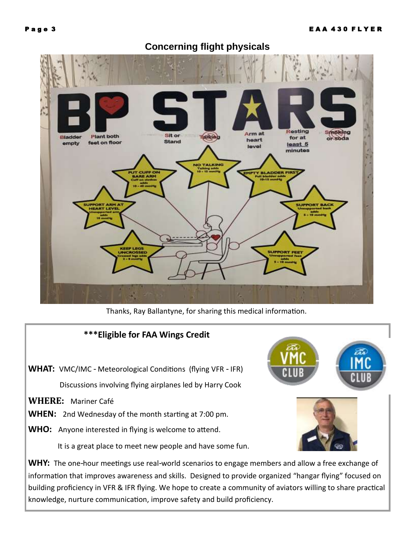

## **Concerning flight physicals**

Thanks, Ray Ballantyne, for sharing this medical information.



information that improves awareness and skills. Designed to provide organized "hangar flying" focused on building proficiency in VFR & IFR flying. We hope to create a community of aviators willing to share practical knowledge, nurture communication, improve safety and build proficiency.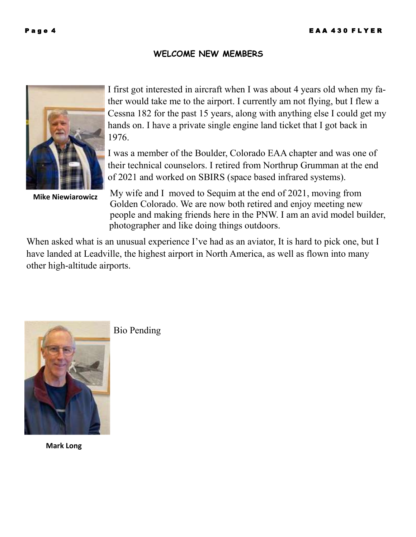### **WELCOME NEW MEMBERS**



**Mike Niewiarowicz**

I first got interested in aircraft when I was about 4 years old when my father would take me to the airport. I currently am not flying, but I flew a Cessna 182 for the past 15 years, along with anything else I could get my hands on. I have a private single engine land ticket that I got back in 1976.

I was a member of the Boulder, Colorado EAA chapter and was one of their technical counselors. I retired from Northrup Grumman at the end of 2021 and worked on SBIRS (space based infrared systems).

My wife and I moved to Sequim at the end of 2021, moving from Golden Colorado. We are now both retired and enjoy meeting new people and making friends here in the PNW. I am an avid model builder, photographer and like doing things outdoors.

When asked what is an unusual experience I've had as an aviator, It is hard to pick one, but I have landed at Leadville, the highest airport in North America, as well as flown into many other high-altitude airports.



**Mark Long**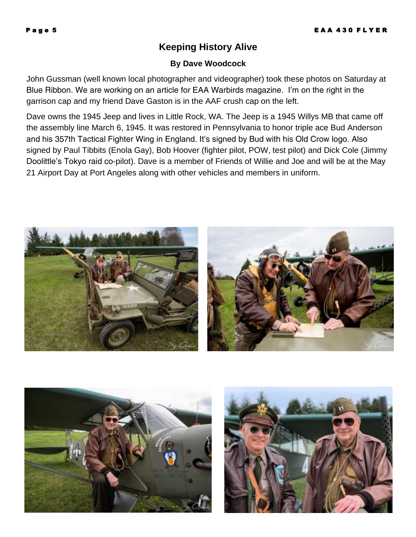## **Keeping History Alive**

#### **By Dave Woodcock**

John Gussman (well known local photographer and videographer) took these photos on Saturday at Blue Ribbon. We are working on an article for EAA Warbirds magazine. I'm on the right in the garrison cap and my friend Dave Gaston is in the AAF crush cap on the left.

Dave owns the 1945 Jeep and lives in Little Rock, WA. The Jeep is a 1945 Willys MB that came off the assembly line March 6, 1945. It was restored in Pennsylvania to honor triple ace Bud Anderson and his 357th Tactical Fighter Wing in England. It's signed by Bud with his Old Crow logo. Also signed by Paul Tibbits (Enola Gay), Bob Hoover (fighter pilot, POW, test pilot) and Dick Cole (Jimmy Doolittle's Tokyo raid co-pilot). Dave is a member of Friends of Willie and Joe and will be at the May 21 Airport Day at Port Angeles along with other vehicles and members in uniform.





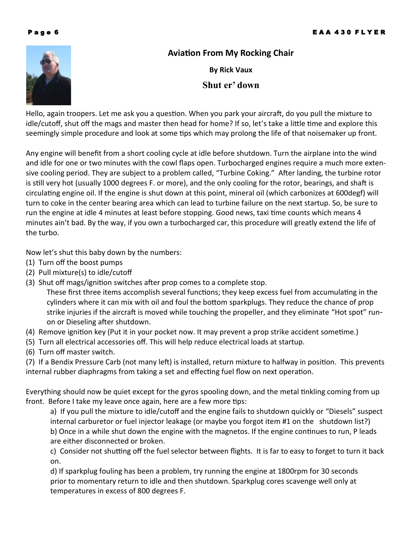

## **Aviation From My Rocking Chair**

**By Rick Vaux Shut er' down**

Hello, again troopers. Let me ask you a question. When you park your aircraft, do you pull the mixture to idle/cutoff, shut off the mags and master then head for home? If so, let's take a little time and explore this seemingly simple procedure and look at some tips which may prolong the life of that noisemaker up front.

Any engine will benefit from a short cooling cycle at idle before shutdown. Turn the airplane into the wind and idle for one or two minutes with the cowl flaps open. Turbocharged engines require a much more extensive cooling period. They are subject to a problem called, "Turbine Coking." After landing, the turbine rotor is still very hot (usually 1000 degrees F. or more), and the only cooling for the rotor, bearings, and shaft is circulating engine oil. If the engine is shut down at this point, mineral oil (which carbonizes at 600degf) will turn to coke in the center bearing area which can lead to turbine failure on the next startup. So, be sure to run the engine at idle 4 minutes at least before stopping. Good news, taxi time counts which means 4 minutes ain't bad. By the way, if you own a turbocharged car, this procedure will greatly extend the life of the turbo.

Now let's shut this baby down by the numbers:

- (1) Turn off the boost pumps
- (2) Pull mixture(s) to idle/cutoff
- (3) Shut off mags/ignition switches after prop comes to a complete stop.

These first three items accomplish several functions; they keep excess fuel from accumulating in the cylinders where it can mix with oil and foul the bottom sparkplugs. They reduce the chance of prop strike injuries if the aircraft is moved while touching the propeller, and they eliminate "Hot spot" runon or Dieseling after shutdown.

- (4) Remove ignition key (Put it in your pocket now. It may prevent a prop strike accident sometime.)
- (5) Turn all electrical accessories off. This will help reduce electrical loads at startup.
- (6) Turn off master switch.

(7) If a Bendix Pressure Carb (not many left) is installed, return mixture to halfway in position. This prevents internal rubber diaphragms from taking a set and effecting fuel flow on next operation.

Everything should now be quiet except for the gyros spooling down, and the metal tinkling coming from up front. Before I take my leave once again, here are a few more tips:

a) If you pull the mixture to idle/cutoff and the engine fails to shutdown quickly or "Diesels" suspect internal carburetor or fuel injector leakage (or maybe you forgot item #1 on the shutdown list?) b) Once in a while shut down the engine with the magnetos. If the engine continues to run, P leads are either disconnected or broken.

c) Consider not shutting off the fuel selector between flights. It is far to easy to forget to turn it back on.

d) If sparkplug fouling has been a problem, try running the engine at 1800rpm for 30 seconds prior to momentary return to idle and then shutdown. Sparkplug cores scavenge well only at temperatures in excess of 800 degrees F.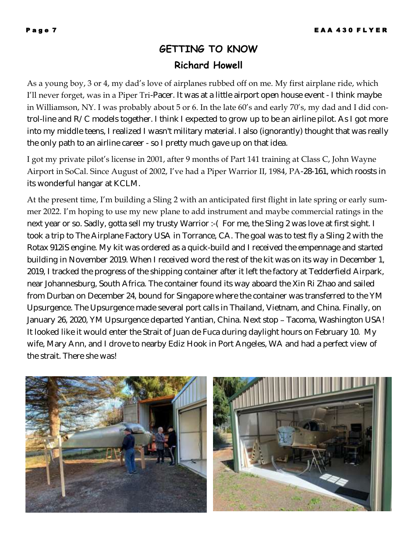## **GETTING TO KNOW Richard Howell**

As a young boy, 3 or 4, my dad's love of airplanes rubbed off on me. My first airplane ride, which I'll never forget, was in a Piper Tri-Pacer. It was at a little airport open house event - I think maybe in Williamson, NY. I was probably about 5 or 6. In the late 60's and early 70's, my dad and I did control-line and R/C models together. I think I expected to grow up to be an airline pilot. As I got more into my middle teens, I realized I wasn't military material. I also (ignorantly) thought that was really the only path to an airline career - so I pretty much gave up on that idea.

I got my private pilot's license in 2001, after 9 months of Part 141 training at Class C, John Wayne Airport in SoCal. Since August of 2002, I've had a Piper Warrior II, 1984, PA-28-161, which roosts in its wonderful hangar at KCLM.

At the present time, I'm building a Sling 2 with an anticipated first flight in late spring or early summer 2022. I'm hoping to use my new plane to add instrument and maybe commercial ratings in the next year or so. Sadly, gotta sell my trusty Warrior :- (For me, the Sling 2 was love at first sight. I took a trip to The Airplane Factory USA in Torrance, CA. The goal was to test fly a Sling 2 with the Rotax 912iS engine. My kit was ordered as a quick-build and I received the empennage and started building in November 2019. When I received word the rest of the kit was on its way in December 1, 2019, I tracked the progress of the shipping container after it left the factory at Tedderfield Airpark, near Johannesburg, South Africa. The container found its way aboard the Xin Ri Zhao and sailed from Durban on December 24, bound for Singapore where the container was transferred to the YM Upsurgence. The Upsurgence made several port calls in Thailand, Vietnam, and China. Finally, on January 26, 2020, YM Upsurgence departed Yantian, China. Next stop – Tacoma, Washington USA! It looked like it would enter the Strait of Juan de Fuca during daylight hours on February 10. My wife, Mary Ann, and I drove to nearby Ediz Hook in Port Angeles, WA and had a perfect view of the strait. There she was!

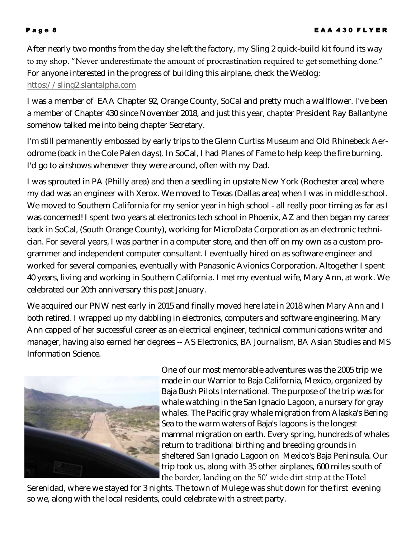After nearly two months from the day she left the factory, my Sling 2 quick-build kit found its way to my shop. "Never underestimate the amount of procrastination required to get something done." For anyone interested in the progress of building this airplane, check the Weblog: [https://sling2.slantalpha.com](https://sling2.slantalpha.com/)

I was a member of EAA Chapter 92, Orange County, SoCal and pretty much a wallflower. I've been a member of Chapter 430 since November 2018, and just this year, chapter President Ray Ballantyne somehow talked me into being chapter Secretary.

I'm still permanently embossed by early trips to the Glenn Curtiss Museum and Old Rhinebeck Aerodrome (back in the Cole Palen days). In SoCal, I had Planes of Fame to help keep the fire burning. I'd go to airshows whenever they were around, often with my Dad.

I was sprouted in PA (Philly area) and then a seedling in upstate New York (Rochester area) where my dad was an engineer with Xerox. We moved to Texas (Dallas area) when I was in middle school. We moved to Southern California for my senior year in high school - all really poor timing as far as I was concerned! I spent two years at electronics tech school in Phoenix, AZ and then began my career back in SoCal, (South Orange County), working for MicroData Corporation as an electronic technician. For several years, I was partner in a computer store, and then off on my own as a custom programmer and independent computer consultant. I eventually hired on as software engineer and worked for several companies, eventually with Panasonic Avionics Corporation. Altogether I spent 40 years, living and working in Southern California. I met my eventual wife, Mary Ann, at work. We celebrated our 20th anniversary this past January.

We acquired our PNW nest early in 2015 and finally moved here late in 2018 when Mary Ann and I both retired. I wrapped up my dabbling in electronics, computers and software engineering. Mary Ann capped of her successful career as an electrical engineer, technical communications writer and manager, having also earned her degrees -- AS Electronics, BA Journalism, BA Asian Studies and MS Information Science.



One of our most memorable adventures was the 2005 trip we made in our Warrior to Baja California, Mexico, organized by Baja Bush Pilots International. The purpose of the trip was for whale watching in the San Ignacio Lagoon, a nursery for gray whales. The Pacific gray whale migration from Alaska's Bering Sea to the warm waters of Baja's lagoons is the longest mammal migration on earth. Every spring, hundreds of whales return to traditional birthing and breeding grounds in sheltered San Ignacio Lagoon on Mexico's Baja Peninsula. Our trip took us, along with 35 other airplanes, 600 miles south of the border, landing on the 50' wide dirt strip at the Hotel

Serenidad, where we stayed for 3 nights. The town of Mulege was shut down for the first evening so we, along with the local residents, could celebrate with a street party.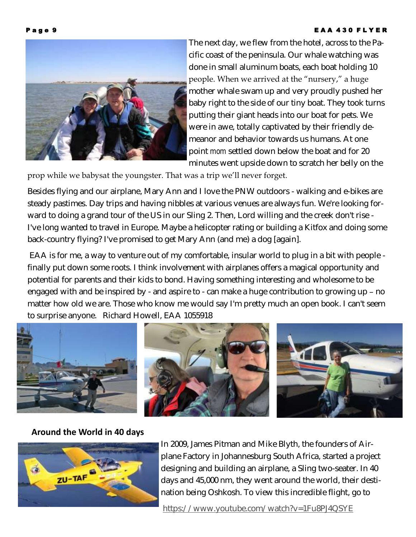#### **E A A 430 F L Y E R**



The next day, we flew from the hotel, across to the Pacific coast of the peninsula. Our whale watching was done in small aluminum boats, each boat holding 10 people. When we arrived at the "nursery," a huge mother whale swam up and very proudly pushed her baby right to the side of our tiny boat. They took turns putting their giant heads into our boat for pets. We were in awe, totally captivated by their friendly demeanor and behavior towards us humans. At one point *mom* settled down below the boat and for 20 minutes went upside down to scratch her belly on the

prop while we babysat the youngster. That was a trip we'll never forget.

Besides flying and our airplane, Mary Ann and I love the PNW outdoors - walking and e-bikes are steady pastimes. Day trips and having nibbles at various venues are always fun. We're looking forward to doing a grand tour of the US in our Sling 2. Then, Lord willing and the creek don't rise - I've long wanted to travel in Europe. Maybe a helicopter rating or building a Kitfox and doing some back-country flying? I've promised to get Mary Ann (and me) a dog [again].

EAA is for me, a way to venture out of my comfortable, insular world to plug in a bit with people finally put down some roots. I think involvement with airplanes offers a magical opportunity and potential for parents and their kids to bond. Having something interesting and wholesome to be engaged with and be inspired by - and aspire to - can make a huge contribution to growing up – no matter how old we are. Those who know me would say I'm pretty much an open book. I can't seem to surprise anyone. Richard Howell, EAA 1055918



### **Around the World in 40 days**



In 2009, James Pitman and Mike Blyth, the founders of Airplane Factory in Johannesburg South Africa, started a project designing and building an airplane, a Sling two-seater. In 40 days and 45,000 nm, they went around the world, their destination being Oshkosh. To view this incredible flight, go to

<https://www.youtube.com/watch?v=1Fu8PJ4QSYE>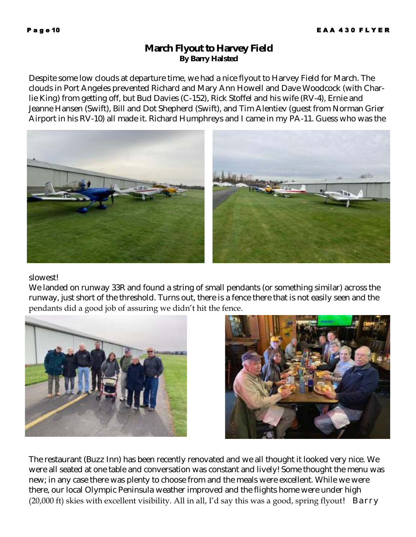### **March Flyout to Harvey Field By Barry Halsted**

Despite some low clouds at departure time, we had a nice flyout to Harvey Field for March. The clouds in Port Angeles prevented Richard and Mary Ann Howell and Dave Woodcock (with Charlie King) from getting off, but Bud Davies (C-152), Rick Stoffel and his wife (RV-4), Ernie and Jeanne Hansen (Swift), Bill and Dot Shepherd (Swift), and Tim Alentiev (guest from Norman Grier Airport in his RV-10) all made it. Richard Humphreys and I came in my PA-11. Guess who was the



slowest!

We landed on runway 33R and found a string of small pendants (or something similar) across the runway, just short of the threshold. Turns out, there is a fence there that is not easily seen and the pendants did a good job of assuring we didn't hit the fence.





The restaurant (Buzz Inn) has been recently renovated and we all thought it looked very nice. We were all seated at one table and conversation was constant and lively! Some thought the menu was new; in any case there was plenty to choose from and the meals were excellent. While we were there, our local Olympic Peninsula weather improved and the flights home were under high (20,000 ft) skies with excellent visibility. All in all, I'd say this was a good, spring flyout*! Barry*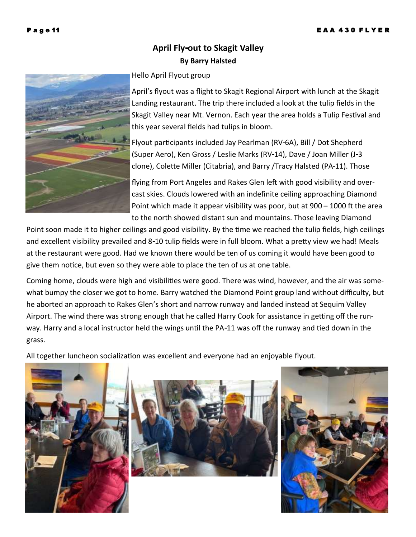## **April Fly-out to Skagit Valley By Barry Halsted**

#### Hello April Flyout group

April's flyout was a flight to Skagit Regional Airport with lunch at the Skagit Landing restaurant. The trip there included a look at the tulip fields in the Skagit Valley near Mt. Vernon. Each year the area holds a Tulip Festival and this year several fields had tulips in bloom.

Flyout participants included Jay Pearlman (RV-6A), Bill / Dot Shepherd (Super Aero), Ken Gross / Leslie Marks (RV-14), Dave / Joan Miller (J-3 clone), Colette Miller (Citabria), and Barry /Tracy Halsted (PA-11). Those

flying from Port Angeles and Rakes Glen left with good visibility and overcast skies. Clouds lowered with an indefinite ceiling approaching Diamond Point which made it appear visibility was poor, but at 900 – 1000 ft the area to the north showed distant sun and mountains. Those leaving Diamond

Point soon made it to higher ceilings and good visibility. By the time we reached the tulip fields, high ceilings and excellent visibility prevailed and 8-10 tulip fields were in full bloom. What a pretty view we had! Meals at the restaurant were good. Had we known there would be ten of us coming it would have been good to give them notice, but even so they were able to place the ten of us at one table.

Coming home, clouds were high and visibilities were good. There was wind, however, and the air was somewhat bumpy the closer we got to home. Barry watched the Diamond Point group land without difficulty, but he aborted an approach to Rakes Glen's short and narrow runway and landed instead at Sequim Valley Airport. The wind there was strong enough that he called Harry Cook for assistance in getting off the runway. Harry and a local instructor held the wings until the PA-11 was off the runway and tied down in the grass.

All together luncheon socialization was excellent and everyone had an enjoyable flyout.







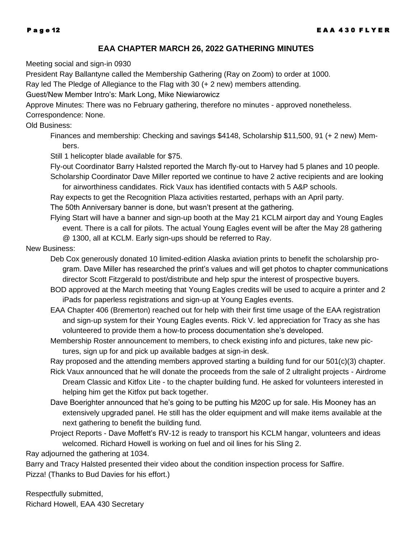#### **EAA CHAPTER MARCH 26, 2022 GATHERING MINUTES**

Meeting social and sign-in 0930

President Ray Ballantyne called the Membership Gathering (Ray on Zoom) to order at 1000.

Ray led The Pledge of Allegiance to the Flag with 30 (+ 2 new) members attending.

Guest/New Member Intro's: Mark Long, Mike Niewiarowicz

Approve Minutes: There was no February gathering, therefore no minutes - approved nonetheless.

#### Correspondence: None.

#### Old Business:

Finances and membership: Checking and savings \$4148, Scholarship \$11,500, 91 (+ 2 new) Members.

Still 1 helicopter blade available for \$75.

Fly-out Coordinator Barry Halsted reported the March fly-out to Harvey had 5 planes and 10 people. Scholarship Coordinator Dave Miller reported we continue to have 2 active recipients and are looking

for airworthiness candidates. Rick Vaux has identified contacts with 5 A&P schools.

Ray expects to get the Recognition Plaza activities restarted, perhaps with an April party.

The 50th Anniversary banner is done, but wasn't present at the gathering.

Flying Start will have a banner and sign-up booth at the May 21 KCLM airport day and Young Eagles event. There is a call for pilots. The actual Young Eagles event will be after the May 28 gathering @ 1300, all at KCLM. Early sign-ups should be referred to Ray.

#### New Business:

- Deb Cox generously donated 10 limited-edition Alaska aviation prints to benefit the scholarship program. Dave Miller has researched the print's values and will get photos to chapter communications director Scott Fitzgerald to post/distribute and help spur the interest of prospective buyers.
- BOD approved at the March meeting that Young Eagles credits will be used to acquire a printer and 2 iPads for paperless registrations and sign-up at Young Eagles events.
- EAA Chapter 406 (Bremerton) reached out for help with their first time usage of the EAA registration and sign-up system for their Young Eagles events. Rick V. led appreciation for Tracy as she has volunteered to provide them a how-to process documentation she's developed.
- Membership Roster announcement to members, to check existing info and pictures, take new pictures, sign up for and pick up available badges at sign-in desk.

Ray proposed and the attending members approved starting a building fund for our 501(c)(3) chapter.

- Rick Vaux announced that he will donate the proceeds from the sale of 2 ultralight projects Airdrome Dream Classic and Kitfox Lite - to the chapter building fund. He asked for volunteers interested in helping him get the Kitfox put back together.
- Dave Boerighter announced that he's going to be putting his M20C up for sale. His Mooney has an extensively upgraded panel. He still has the older equipment and will make items available at the next gathering to benefit the building fund.
- Project Reports Dave Moffett's RV-12 is ready to transport his KCLM hangar, volunteers and ideas welcomed. Richard Howell is working on fuel and oil lines for his Sling 2.

Ray adjourned the gathering at 1034.

Barry and Tracy Halsted presented their video about the condition inspection process for *Saffire*. Pizza! (Thanks to Bud Davies for his effort.)

Respectfully submitted, Richard Howell, EAA 430 Secretary